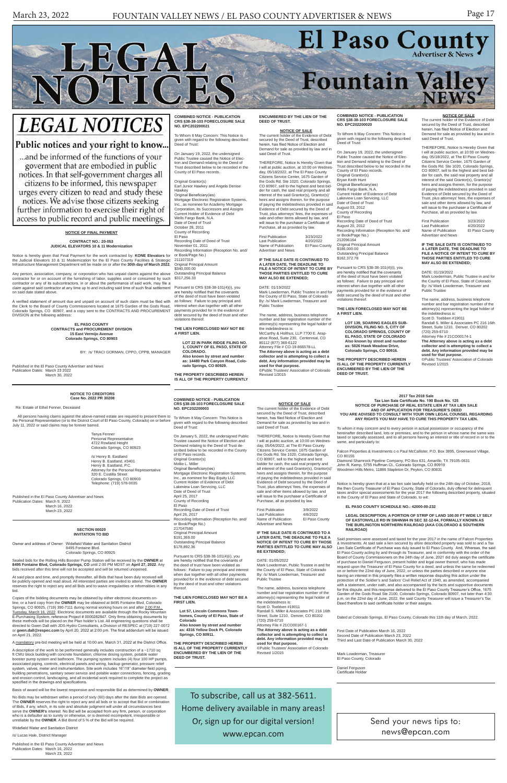# El Paso County Fountain Valley

# **LEGAL NOTICES**

LEGAL

NOTICES

### Public notices and your right to know...

... and be informed of the functions of your goverment that are embodied in public notices. In that self-government charges all citizens to be informed, this newspaper urges every citizen to read and study these notices. We advise those citizens seeking further information to exercise their right of access to public record and public meetings.

### Send your news tips to: news@epcan.com

To subscribe, call us at 382-5611. Home delivery available in many areas! Or, sign up for our digital version!

www.epcan.com

#### **COMBINED NOTICE - PUBLICATION CRS §38-38-103 FORECLOSURE SALE NO. EPC202200003**

given with regard to the following described Deed of Trust:

On January 5, 2022, the undersigned Public Trustee caused the Notice of Election and Demand relating to the Deed of Trust described below to be recorded in the County of El Paso records. Original Grantor(s) Mollie L. Miller Original Beneficiary(ies) Mortgage Electronic Registration Systems, Inc., as nominee for Bay Equity LLC Current Holder of Evidence of Debt Lakeview Loan Servicing, LLC Date of Deed of Trust April 25, 2017 County of Recording El Paso Recording Date of Deed of Trust April 26, 2017 Recording Information (Reception No. and/ or Book/Page No.) 217047580 Original Principal Amount \$191,369.00 Outstanding Principal Balance \$178,892.36

THEREFORE, Notice Is Hereby Given that I will at public auction, at 10:00 on Wednes-day, 05/04/2022, at The El Paso County Citizens Service Center, 1675 Garden of the Gods Rd. Ste 1020, Colorado Springs, CO 80907, sell to the highest and best bidder for cash, the said real property and all interest of the said Grantor(s), Grantor(s)' heirs and assigns therein, for the purpose of paying the indebtedness provided in said Evidence of Debt secured by the Deed of Trust, plus attorneys' fees, the expenses of sale and other items allowed by law, and will issue to the purchaser a Certificate of Purchase, all as provided by law. First Publication 3/9/2022 Last Publication 4/6/2022<br>Name of Publication El Paso County

Pursuant to CRS §38-38-101(4)(i), you are hereby notified that the covenants of the deed of trust have been violated as follows: Failure to pay principal and interest when due together with all other payments provided for in the evidence of debt secured by the deed of trust and other violations thereof.

Name of Publication Advertiser and News

#### **THE LIEN FORECLOSED MAY NOT BE A FIRST LIEN.**

**Lot 57, Lincoln Commons Townhomes, County of El Paso, State of Colorado Also known by street and number as: 4316 Yellow Dock Pt, Colorado Springs, CO 80911.**

**THE PROPERTY DESCRIBED HEREIN IS ALL OF THE PROPERTY CURRENTLY ENCUMBERED BY THE LIEN OF THE DEED OF TRUST.**

**NOTICE OF SALE** The current holder of the Evidence of Debt secured by the Deed of Trust, described herein, has filed Notice of Election and Demand for sale as provided by law and in

All persons having claims against the above-named estate are required to present them to To Whom It May Concern: This Notice is the above-named Elisabeth Concernicular to To Whom It May Concernic This Notice is the Personal Representative (or to the District Court of El Paso County, Colorado) on or before July 11, 2022 or said claims may be forever barred.

said Deed of Trust.

**IF THE SALE DATE IS CONTINUED TO A LATER DATE, THE DEADLINE TO FILE A NOTICE OF INTENT TO CURE BY THOSE PARTIES ENTITLED TO CURE MAY ALSO** 

Said premises were assessed and taxed for the year 2017 in the name of Falcon Properties & Investments. At said sale a lien secured by afore described property was sold to and a Tax Lien Sale Certificate of Purchase was duly issued to El Paso County. And, Whereas, the said El Paso County acting by and through its Treasurer, and in conformity with the order of the Board of County Commissioners on the 24th day of June, 2021 did duly assign the certificate of purchase to Daniel Ferguson, present holder and legal owner thereof, who has made request upon the Treasurer of El Paso County for a deed, and unless the same be redeemed on or before the 22nd day of June, 2022, or unless the parties described or anyone else having an interest in this property files a written response disputing this action under the having an interest in this property files a written response disputing this action under the protection of the Soldier's and Sailors' Civil Relief Act of 1940, as amended, accompanied with a statement, under oath, and also accompanied by the facts and supportive documents for this dispute, and this response delivered to the El Paso County Treasurer's Office, 1675 Garden of the Gods Road Ste 2100, Colorado Springs, Colorado 80907, not later than 4:30 p.m. on the 22nd day of June, 2022, the said County Treasurer will issue a Treasurer's Tax Deed therefore to said certificate holder or their assigns.

**BE EXTENDED;** DATE: 01/05/2022

Mark Lowderman, Public Trustee in and for

the County of El Paso, State of Colorado By: /s/ Mark Lowderman, Treasurer and Public Trustee

The name, address, business telephone number and bar registration number of the attorney(s) representing the legal holder of the indebtedness is: Scott D. Toebben #19011 Randall S. Miller & Associates PC 216 16th Street, Suite 1210, Denver, CO 80202 (720) 259-6710 Attorney File # 21CO00167-1 **The Attorney above is acting as a debt collector and is attempting to collect a debt. Any information provided may be used for that purpose.** ©Public Trustees' Association of Colorado

Revised 1/2015

#### **NOTICE TO CREDITORS Case No. 2022 PR 30208**

Re: Estate of Ethel Fenner, Deceased

Mark I owderman, Treasurer El Paso County, Colorado

Tanya Fenner Personal Representative 4722 Rowland Height Colorado Springs, CO 80923

/s/ Henry B. Eastland Henry B. Eastland, #3401 Henry B. Eastland, P.C. Attorney for the Personal Representative 320 E. Costilla Street Colorado Springs, CO 80903 Telephone: (719) 578-0035

Published in the El Paso County Advertiser and News Publication Dates: March 9, 2022 March 16, 2022 March 23, 2022

**2017 Tax 2018 Sale Tax Lien Sale Certificate No. 190 Book No. 125 NOTICE OF PURCHASE OF REAL ESTATE LIEN AT TAX LIEN SALE AND OF APPLICATION FOR TREASURER'S DEED YOU ARE ADVISED TO CONSULT WITH YOUR OWN LEGAL COUNSEL REGARDING ANY RIGHTS YOU MAY HAVE TO CURE THIS PROPERTY TAX LIEN.**

To whom it may concern and to every person in actual possession or occupancy of the hereinafter described land, lots or premises, and to the person in whose name the same was taxed or specially assessed, and to all persons having an interest or title of record in or to the same, and particularly to:

Falcon Properties & Investments c-o Paul McCallister, P.O. Box 3895, Greenwood Village, CO 80155

Diamond Shamrock Pipeline Company, PO Box 631, Amarillo, TX 79105-0631 John R. Kemp, 5755 Huffman Ct., Colorado Springs, CO 80919 Woodmen Hills Metro, 11886 Stapleton Dr, Peyton, CO 80831

ublished in the El Paso County Advertiser and News Publication Dates: March 16, 2022 March 23, 2022

Notice is hereby given that at a tax lien sale lawfully held on the 24th day of October, 2018, the then County Treasurer of El Paso County, State of Colorado, duly offered for delinquent taxes and/or special assessments for the year 2017 the following described property, situated in the County of El Paso and State of Colorado, to wit:

#### **EL PASO COUNTY SCHEDULE NO.: 42000-00-232**

**LEGAL DESCRIPTION: A PORTION OF STRIP OF LAND 100.00 FT WIDE LY SELY OF EASTONVILLE RD IN SW4NW4 IN SEC 32-12-64, FORMALLY KNOWN AS THE BURLINGTON NORTHERN RAILROAD (AKA COLORADO & SOUTHERN RAILROAD)**

Original Principal Amount \$186,000.00 Outstanding Principal Balance \$162,372.78

First Publication 3/23/2022<br>Last Publication 4/20/2022 Last Publication 4/20/2022<br>Name of Publication El Paso County Name of Publication Advertiser and News

Dated at Colorado Springs, El Paso County, Colorado this 11th day of March, 2022.

First Date of Publication March 16, 2022 Second Date of Publication March 23, 2022 Third and Last Date of Publication March 30, 2022

Mark Lowderman, Public Trustee in and for the County of El Paso, State of Colorado By: /s/ Mark Lowderman, Treasurer and Public Trustee

Daniel Ferguson Certificate Holder

#### **SECTION 00020 INVITATION TO BID**

Owner and address of Owner: Widefield Water and Sanitation District 8495 Fontaine Blvd. Colorado Springs, CO 80925

Sealed bids for the Rolling Hills Booster Pump Station will be received by the **OWNER** at **8495 Fontaine Blvd, Colorado Springs, CO** until 2:00 PM MDST on **April 27, 2022**. Any bids received after this time will not be accepted and will be returned unopened.

Original Grantor(s) Earl Junior Hawkey and Angela Denise

At said place and time, and promptly thereafter, all Bids that have been duly received will be publicly opened and read aloud. All interested parties are invited to attend. The **OWNER** reserves the right to reject any and all Bids and to waive irregularities or informalities in any bid.

Copies of the bidding documents may be obtained by either electronic documents online, or a hard copy from the **OWNER** may be obtained at 8495 Fontaine Blvd, Colorado Springs, CO 80925, (719) 390-7111 during normal working hours on and after <u>2:00 P.M..</u><br><u>Tuesday, March 16, 2022</u>. Electronic documents are available through the Rocky Mountain<br>E-Purchasing System, reference Project # 0000 these methods will be placed on the Plan holder's List. All engineering questions shall be directed to Gwen Dall with JDS-Hydro Consultants, a Division of RESPEC at (719) 227-0072 or **gwen.dall@respec.com** by April 20, 2022 at 2:00 pm. The final addendum will be issued on April 21, 2022.

First Publication 3/23/2022<br>Last Publication 4/20/2022<br>Name of Publication El Paso County Last Publication 4/20/2022 Name of Publication El Paso County Advertiser and News

A mandatory pre-bid meeting will be held at 10:00 am, March 31, 2022 at the District Office.

A description of the work to be performed generally includes construction of a ~1710 sq ft CMU block building with concrete foundation, chlorine dosing system, potable water<br>booster pump system and bathroom. The pumping system includes (4) four 100 HP pumps,<br>associated piping, controls, electrical panels and system, valves, meter and instrumentation. Site work includes 16"/18" diameter field piping, building penetrations, sanitary sewer service and potable water connections, fencing, grading and erosion control, landscaping, and all incidental work required to complete the project as specified in the drawings and specifications.

Basis of award will be the lowest responsive and responsible Bid as determined by **OWNER**.

No Bids may be withdrawn within a period of sixty (60) days after the date Bids are opened. The **OWNER** reserves the right to reject any and all bids or to accept that Bid or combination of Bids, if any, which, in its sole and absolute judgment will under all circumstances best serve the **OWNER's** interest. No Bid will be accepted from any firm, person, or corporation who is a defaulter as to surety or otherwise, or is deemed incompetent, irresponsible or unreliable by the **OWNER**. A Bid Bond of 5 % of the Bid will be required.

Widefield Water and Sanitation District

/s/ Lucas Hale, District Manager

#### **NOTICE OF FINAL PAYMENT**

#### **CONTRACT NO.: 20-053 JUDICAL ELEVATORS 10 & 11 Modernization**

Notice is hereby given that Final Payment for the work contracted by: **KONE Elevators** for the Judicial Elevators 10 & 11 Modernization for the El Paso County Facilities & Strategic Infrastructure Management Department will be made on or after the **30th day of March 2022**.

Any person, association, company, or corporation who has unpaid claims against the above contractor for or on account of the furnishing of labor, supplies used or consumed by such contractor or any of its subcontractors, in or about the performance of said work, may file a claim against said contractor at any time up to and including said time of such final settlement on said date stated above.

A verified statement of amount due and unpaid on account of such claim must be filed with the Clerk to the Board of County Commissioners located at 1675 Garden of the Gods Road, Colorado Springs, CO 80907, and a copy sent to the CONTRACTS AND PROCUREMENT DIVISION at the following address:

> **EL PASO COUNTY CONTRACTS and PROCUREMENT DIVISION 15 East Vermijo Avenue Colorado Springs, CO 80903**

#### BY: /s/ TRACI GORMAN, CPPO, CPPB, MANAGER

Published in the El Paso County Advertiser and News Publication Dates: March 23 2022 March 30, 2022

#### **COMBINED NOTICE - PUBLICATION CRS §38-38-103 FORECLOSURE SALE NO. EPC202200020**

To Whom It May Concern: This Notice is given with regard to the following described Deed of Trust:

On January 19, 2022, the undersigned Public Trustee caused the Notice of Elec-tion and Demand relating to the Deed of Trust described below to be recorded in the County of El Paso records. Original Grantor(s) Bryan Keith Hunt Original Beneficiary(ies) Wells Fargo Bank, N.A. Current Holder of Evidence of Debt Lakeview Loan Servicing, LLC Date of Deed of Trust August 03, 2012 County of Recording El Paso

Recording Date of Deed of Trust August 20, 2012 Recording Information (Reception No. and/ or Book/Page No.) 212096164

Pursuant to CRS §38-38-101(4)(i), you are hereby notified that the covenants of the deed of trust have been violated as follows: Failure to pay principal and interest when due together with all other payments provided for in the evidence of debt secured by the deed of trust and other violations thereof.

#### **THE LIEN FORECLOSED MAY NOT BE A FIRST LIEN.**

**LOT 139, SOARING EAGLES SUB-DIVISION, FILING NO. 5, CITY OF COLORADO SPRINGS, COUNTY OF EL PASO, STATE OF COLORADO Also known by street and number as: 5026 Hawk Meadow Drive, Colorado Springs, CO 80916.**

**THE PROPERTY DESCRIBED HEREIN IS ALL OF THE PROPERTY CURRENTLY ENCUMBERED BY THE LIEN OF THE DEED OF TRUST.**

#### **NOTICE OF SALE**

The current holder of the Evidence of Debt secured by the Deed of Trust, described herein, has filed Notice of Election and Demand for sale as provided by law and in said Deed of Trust.

THEREFORE, Notice Is Hereby Given that I will at public auction, at 10:00 on Wednesday, 05/18/2022, at The El Paso County Citizens Service Center, 1675 Garden of the Gods Rd. Ste 1020, Colorado Springs, CO 80907, sell to the highest and best bidder for cash, the said real property and all interest of the said Grantor(s), Grantor(s)' heirs and assigns therein, for the purpose of paying the indebtedness provided in said Evidence of Debt secured by the Deed of Trust, plus attorneys' fees, the expenses of sale and other items allowed by law, and will issue to the purchaser a Certificate of Purchase, all as provided by law.

#### **IF THE SALE DATE IS CONTINUED TO A LATER DATE, THE DEADLINE TO FILE A NOTICE OF INTENT TO CURE BY THOSE PARTIES ENTITLED TO CURE MAY ALSO BE EXTENDED;**

DATE: 01/19/2022

The name, address, business telephone number and bar registration number of the attorney(s) representing the legal holder of the indebtedness is: Scott D. Toebben #19011 Randall S. Miller & Associates PC 216 16th Street, Suite 1210, Denver, CO 80202 (720) 259-6710 Attorney File # 21CO00174-1

**The Attorney above is acting as a debt collector and is attempting to collect a debt. Any information provided may be used for that purpose.** ©Public Trustees' Association of Colorado Revised 1/2015

#### **COMBINED NOTICE - PUBLICATION CRS §38-38-103 FORECLOSURE SALE NO. EPC202200021**

To Whom It May Concern: This Notice is given with regard to the following described Deed of Trust:

On January 19, 2022, the undersigned Public Trustee caused the Notice of Election and Demand relating to the Deed of Trust described below to be recorded in the County of El Paso records.

Hawkey Original Beneficiary(ies) Mortgage Electronic Registration Systems, Inc., as nominee for Academy Mortgage Corporation, Its Successors and Assigns Current Holder of Evidence of Debt Wells Fargo Bank, N.A. Date of Deed of Trust October 28, 2011 County of Recording El Paso Recording Date of Deed of Trust November 01, 2011 Recording Information (Reception No. and/ or Book/Page No.) 211107319 Original Principal Amount \$340,000.00 Outstanding Principal Balance \$317,256.33

Pursuant to CRS §38-38-101(4)(i), you are hereby notified that the covenants of the deed of trust have been violated as follows: Failure to pay principal and interest when due together with all other payments provided for in the evidence of debt secured by the deed of trust and other violations thereof.

**THE LIEN FORECLOSED MAY NOT BE A FIRST LIEN.**

> **LOT 22 IN PARK RIDGE FILING NO. 1, COUNTY OF EL PASO, STATE OF COLORADO. Also known by street and number as: 14480 Park Canyon Road, Colorado Springs, CO 80929.**

**THE PROPERTY DESCRIBED HEREIN IS ALL OF THE PROPERTY CURRENTLY** 

# **ENCUMBERED BY THE LIEN OF THE DEED OF TRUST.**

**NOTICE OF SALE** The current holder of the Evidence of Debt secured by the Deed of Trust, described herein, has filed Notice of Election and Demand for sale as provided by law and in said Deed of Trust.

THEREFORE, Notice Is Hereby Given that I will at public auction, at 10:00 on Wednesday, 05/18/2022, at The El Paso County Citizens Service Center, 1675 Garden of the Gods Rd. Ste 1020, Colorado Springs, CO 80907, sell to the highest and best bidder for cash, the said real property and all interest of the said Grantor(s), Grantor(s)' heirs and assigns therein, for the purpose of paying the indebtedness provided in said Evidence of Debt secured by the Deed of Trust, plus attorneys' fees, the expenses of sale and other items allowed by law, and will issue to the purchaser a Certificate of Purchase, all as provided by law.

#### **IF THE SALE DATE IS CONTINUED TO A LATER DATE, THE DEADLINE TO FILE A NOTICE OF INTENT TO CURE BY THOSE PARTIES ENTITLED TO CURE MAY ALSO BE EXTENDED;**

DATE: 01/19/2022 Mark Lowderman, Public Trustee in and for the County of El Paso, State of Colorado By: /s/ Mark Lowderman, Treasurer and Public Trustee

The name, address, business telephone number and bar registration number of the attorney(s) representing the legal holder of the indebtedness is: McCarthy & Holthus, LLP 7700 E. Arap-ahoe Road, Suite 230, Centennial, CO 80112 (877) 369-6122 Attorney File # CO-19-866578-LL **The Attorney above is acting as a debt collector and is attempting to collect a debt. Any information provided may be used for that purpose.** ©Public Trustees' Association of Colorado Revised 1/2015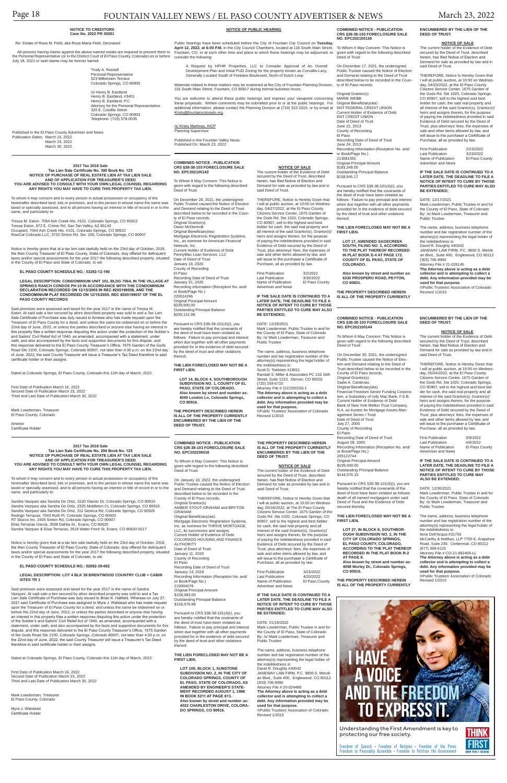Freedom of Speech • Freedom of Religion • Freedom of the Press Freedom to Peaceably Assemble • Freedom to Petition the Government

To Whom It May Concern: This Notice is given with regard to the following described Deed of Trust:

Understanding the First Amendment is key to protecting our free society.





#### **COMBINED NOTICE - PUBLICATION CRS §38-38-103 FORECLOSURE SALE NO. EPC202100138**

On December 17, 2021, the undersigned Public Trustee caused the Notice of Election and Demand relating to the Deed of Trust described below to be recorded in the County of El Paso records.

Original Grantor(s) MARIE WEBB

Original Beneficiary(ies) ENT FEDERAL CREDIT UNION Current Holder of Evidence of Debt ENT CREDIT UNION Date of Deed of Trust June 21, 2013 County of Recording El Paso Recording Date of Deed of Trust June 24, 2013 Recording Information (Reception No. and/ or Book/Page No.) 213081355 Original Principal Amount \$183,349.00 Outstanding Principal Balance \$158,945.17

Pursuant to CRS §38-38-101(4)(i), you are hereby notified that the covenants of the deed of trust have been violated as follows: Failure to pay principal and interest when due together with all other payments provided for in the evidence of debt secured by the deed of trust and other violations thereof.

**THE LIEN FORECLOSED MAY NOT BE A FIRST LIEN.**

**LOT 17, AMENDED SAGECREEK SOUTH, FILING NO. 3, ACCORDING TO THE PLAT THEREOF RECORDED IN PLAT BOOK E-4 AT PAGE 172. COUNTY OF EL PASO, STATE OF COLORADO.**

**Also known by street and number as: 6330 PROSPERO ROAD, PEYTON, CO 80831.**

**THE PROPERTY DESCRIBED HEREIN IS ALL OF THE PROPERTY CURRENTLY**  **ENCUMBERED BY THE LIEN OF THE DEED OF TRUST.**

#### **NOTICE OF SALE**

The current holder of the Evidence of Debt secured by the Deed of Trust, described herein, has filed Notice of Election and Demand for sale as provided by law and in said Deed of Trust.

Outstanding Principal Balance \$239,151.98

THEREFORE, Notice Is Hereby Given that I will at public auction, at 10:00 on Wednes-day, 04/20/2022, at the El Paso County Citizens Service Center, 1675 Garden of the Gods Rd. Ste 1020, Colorado Springs, CO 80907, sell to the highest and best bidder for cash, the said real property and all interest of the said Grantor(s), Grantor(s)' heirs and assigns therein, for the purpose of paying the indebtedness provided in said Evidence of Debt secured by the Deed of Trust, plus attorneys' fees, the expenses of sale and other items allowed by law, and will issue to the purchaser a Certificate of Purchase, all as provided by law.

First Publication 2/23/2022 Last Publication 3/23/2022<br>Name of Publication El Paso County Name of Publication Advertiser and News

#### **IF THE SALE DATE IS CONTINUED TO A LATER DATE, THE DEADLINE TO FILE A NOTICE OF INTENT TO CURE BY THOSE PARTIES ENTITLED TO CURE MAY ALSO BE EXTENDED;**

DATE: 12/17/2021 Mark Lowderman, Public Trustee in and for the County of El Paso, State of Colorado By: /s/ Mark Lowderman, Treasurer and Public Trustee

The name, address, business telephone number and bar registration number of the attorney(s) representing the legal holder of the indebtedness is:

David R. Doughty #40042 JANEWAY LAW FIRM, P.C. 9800 S. Meridian Blvd., Suite 400, Englewood, CO 80112 (303) 706-9990 Attorney File # 21-026145

**The Attorney above is acting as a debt collector and is attempting to collect a debt. Any information provided may be used for that purpose.** ©Public Trustees' Association of Colorado Revised 1/2015

#### **COMBINED NOTICE - PUBLICATION CRS §38-38-103 FORECLOSURE SALE NO. EPC202100143**

To Whom It May Concern: This Notice is given with regard to the following described Deed of Trust:

> Pursuant to CRS §38-38-101(4)(i), you are hereby notified that the covenants of the deed of trust have been violated as follows: death of all named mortgagors under said Deed of Trust and the Evidence of Debt ared thereby.

Public Trustee caused the Notice of Election and Demand relating to the Deed of Trust described below to be recorded in the County of El Paso records. Original Grantor(s) Owen McDermott Original Beneficiary(ies) Mortgage Electronic Registration Systems, Inc., as nominee for American Financial Network, Inc. Current Holder of Evidence of Debt PennyMac Loan Services, LLC Date of Deed of Trust January 18, 2020 County of Recording El Paso Recording Date of Deed of Trust January 31, 2020 Recording Information (Reception No. and/ or Book/Page No.) 220014246 Original Principal Amount \$239,900.00

The current holder of the Evidence of Debt secured by the Deed of Trust, described herein, has filed Notice of Election and Demand for sale as provided by law and in said Deed of Trust.

Pursuant to CRS §38-38-101(4)(i), you are hereby notified that the covenants of the deed of trust have been violated as

follows: Failure to pay principal and interest thereof.

> First Publication 3/9/2022<br>Last Publication 4/6/2022 Last Publication 4/6/2022<br>Name of Publication El Paso County Name of Publication Advertiser and News

#### On December 28, 2021, the undersigned THEREFORE, Notice Is Hereby Given that I will at public auction, at 10:00 on Wednesday, 04/27/2022, at the El Paso County Citizens Service Center, 1675 Garden of the Gods Rd. Ste 1020, Colorado Springs, CO 80907, sell to the highest and best bidder for cash, the said real property and all interest of the said Grantor(s), Grantor(s)' heirs and assigns therein, for the purpose

**THE LIEN FORECLOSED MAY NOT BE A FIRST LIEN.**

**LOT 14, BLOCK 4, SOUTHBOROUGH SUBDIVISION NO. 1, COUNTY OF EL PASO, STATE OF COLORADO. Also known by street and number as: 4040 London Ln, Colorado Springs,** 

**CO 80916.**

**THE PROPERTY DESCRIBED HEREIN** 

**IS ALL OF THE PROPERTY CURRENTLY ENCUMBERED BY THE LIEN OF THE DEED OF TRUST.**

**NOTICE OF SALE** The current holder of the Evidence of Debt secured by the Deed of Trust, described herein, has filed Notice of Election and Demand for sale as provided by law and in

said Deed of Trust.

when due together with all other payments provided for in the evidence of debt secured by the deed of trust and other violations By: /s/ Mark Lowderman, Treasurer and Public Trustee The name, address, business telephone number and bar registration number of the attorney(s) representing the legal holder of

of paying the indebtedness provided in said

Evidence of Debt secured by the Deed of Trust, plus attorneys' fees, the expenses of sale and other items allowed by law, and will issue to the purchaser a Certificate of Purchase, all as provided by law. First Publication 3/2/2022<br>Last Publication 3/30/2022 Last Publication 3/30/2022<br>Name of Publication El Paso County Name of Publication Advertiser and News

**IF THE SALE DATE IS CONTINUED TO A LATER DATE, THE DEADLINE TO FILE A NOTICE OF INTENT TO CURE BY THOSE PARTIES ENTITLED TO CURE MAY ALSO BE EXTENDED;**

#### DATE: 12/28/2021

Mark Lowderman, Public Trustee in and for the County of El Paso, State of Colorado

Mark Lowderman, Treasurer El Paso County, Colorado

the indebtedness is: Scott D. Toebben #19011

Randall S. Miller & Associates PC 216 16th Street, Suite 1210, Denver, CO 80202 (720) 259-6710 Attorney File # 21CO00156-1

**The Attorney above is acting as a debt collector and is attempting to collect a debt. Any information provided may be** 

**used for that purpose.**

©Public Trustees' Association of Colorado

Revised 1/2015

#### **COMBINED NOTICE - PUBLICATION CRS §38-38-103 FORECLOSURE SALE NO. EPC202100144**

To Whom It May Concern: This Notice is given with regard to the following described Deed of Trust:

On December 30, 2021, the undersigned Public Trustee caused the Notice of Election and Demand relating to the Deed of Trust described below to be recorded in the County of El Paso records. Original Grantor(s) Sadie A. Cardenas Original Beneficiary(ies) Financial Freedom Senior Funding Corporation, a Subsidiary of Indy Mac Bank, F.S.B. Current Holder of Evidence of Debt Bank of New York Mellon Trust Company, N.A. as trustee for Mortgage Assets Man-agement Series I Trust Date of Deed of Trust July 27, 2005 County of Recording El Paso Recording Date of Deed of Trust August 09, 2005 tion (Reception No. and/ Recording Informat<br>or Book/Page No.) 205122744 Original Principal Amount

\$199,500.00 Outstanding Principal Balance \$144,576.15

**THE LIEN FORECLOSED MAY NOT BE A FIRST LIEN.**

**LOT 27, IN BLOCK 8, SOUTHBOR-OUGH SUBDIVISION NO. 2, IN THE CITY OF COLORADO SPRINGS, EL PASO COUNTY, COLORADO, ACCORDING TO THE PLAT THEREOF RECORDED IN THE PLAT BOOK R-2 AT PAGE 8.**

**Also known by street and number as: 4098 Morley Dr., Colorado Springs, CO 80916.**

**THE PROPERTY DESCRIBED HEREIN IS ALL OF THE PROPERTY CURRENTLY**  **ENCUMBERED BY THE LIEN OF THE DEED OF TRUST.**

#### **NOTICE OF SALE**

THEREFORE, Notice Is Hereby Given that I will at public auction, at 10:00 on Wednesday, 05/04/2022, at the El Paso County Citizens Service Center, 1675 Garden of the Gods Rd. Ste 1020, Colorado Springs, CO 80907, sell to the highest and best bid-der for cash, the said real property and all interest of the said Grantor(s), Grantor(s)' heirs and assigns therein, for the purpose of paying the indebtedness provided in said Evidence of Debt secured by the Deed of Trust, plus attorneys' fees, the expenses of sale and other items allowed by law, and will issue to the purchaser a Certificate of Purchase, all as provided by law.

Recording Information (Reception No. and/ or Book/Page No.) 219004076 Original Principal Amount \$158,083.00 Outstanding Principal Balance \$156,575.88

#### **IF THE SALE DATE IS CONTINUED TO A LATER DATE, THE DEADLINE TO FILE A NOTICE OF INTENT TO CURE BY THOSE PARTIES ENTITLED TO CURE MAY ALSO BE EXTENDED;**

DATE: 12/30/2021

Mark Lowderman, Public Trustee in and for the County of El Paso, State of Colorado By: /s/ Mark Lowderman, Treasurer and Public Trustee

The name, address, business telephone number and bar registration number of the attorney(s) representing the legal holder of the indebtedness is: Ilene Dell'Acqua #31755

McCarthy & Holthus, LLP 7700 E. Arapahoe Road, Suite 230, Centennial, CO 80112 (877) 369-6122

Attorney File # CO-21-892406-LL **The Attorney above is acting as a debt collector and is attempting to collect a debt. Any information provided may be** 

**used for that purpose.**

©Public Trustees' Association of Colorado Revised 1/2015

Last Publication 4/20/2022<br>Name of Publication El Paso County Name of Publication Advertiser and News

#### **2017 Tax 2018 Sale Tax Lien Sale Certificate No. 390 Book No. 125 NOTICE OF PURCHASE OF REAL ESTATE LIEN AT TAX LIEN SALE AND OF APPLICATION FOR TREASURER'S DEED YOU ARE ADVISED TO CONSULT WITH YOUR OWN LEGAL COUNSEL REGARDING ANY RIGHTS YOU MAY HAVE TO CURE THIS PROPERTY TAX LIEN.**

To whom it may concern and to every person in actual possession or occupancy of the hereinafter described land, lots or premises, and to the person in whose name the same was taxed or specially assessed, and to all persons having an interest or title of record in or to the same, and particularly to:

Tressa M. Eaton, 7064 Ash Creek Hts. #101, Colorado Springs, CO 80922 Tressa Eaton, 872 E. Crimm Rd, San Tan Valley, AZ 85143 Occupant, 7064 Ash Creek Hts. #101, Colorado Springs, CO 80922 RowCal Colorado LLC, 3720 Sinton Rd. Ste. 200, Colorado Springs, CO 80907

Notice is hereby given that at a tax lien sale lawfully held on the 23rd day of October, 2018, the then County Treasurer of El Paso County, State of Colorado, duly offered for delinquent taxes and/or special assessments for the year 2017 the following described property, situated in the County of El Paso and State of Colorado, to wit:

**EL PASO COUNTY SCHEDULE NO.: 53292-12-190**

**LEGAL DESCRIPTION: CONDOMINIUM UNIT 101, BLDG 7064, IN THE VILLAGE AT SPRINGS RANCH CONDOS PH 10 IN ACCORDANCE WITH THE CONDOMINIUM DECLARATION RECORDED ON 12/15/2005 IN REC #205199058, AND THE CONDOMINIUM PLAT RECORDED ON 12/15/2005, REC #205199057 OF THE EL PASO COUNTY RECORDS**

Said premises were assessed and taxed for the year 2017 in the name of Tressa M. Eaton. At said sale a lien secured by afore described property was sold to and a Tax Lien Sale Certificate of Purchase was duly issued to Ameise who has made request upon the Treasurer of El Paso County for a deed, and unless the same be redeemed on or before the 22nd day of June, 2022, or unless the parties described or anyone else having an interest in this property files a written response disputing this action under the protection of the Soldier's and Sailors' Civil Relief Act of 1940, as amended, accompanied with a statement, under oath, and also accompanied by the facts and supportive documents for this dispute, and this response delivered to the El Paso County Treasurer's Office, 1675 Garden of the Gods Road Ste 2100, Colorado Springs, Colorado 80907, not later than 4:30 p.m. on the 22nd day of June, 2022, the said County Treasurer will issue a Treasurer's Tax Deed therefore to said certificate holder or their assigns.

Dated at Colorado Springs, El Paso County, Colorado this 11th day of March, 2022.

First Date of Publication March 16, 2022 Second Date of Publication March 23, 2022 Third and Last Date of Publication March 30, 2022

Ameise Certificate Holder

#### **2017 Tax 2018 Sale Tax Lien Sale Certificate No. 294 Book No. 125 NOTICE OF PURCHASE OF REAL ESTATE LIEN AT TAX LIEN SALE AND OF APPLICATION FOR TREASURER'S DEED YOU ARE ADVISED TO CONSULT WITH YOUR OWN LEGAL COUNSEL REGARDING ANY RIGHTS YOU MAY HAVE TO CURE THIS PROPERTY TAX LIEN.**

To whom it may concern and to every person in actual possession or occupancy of the hereinafter described land, lots or premises, and to the person in whose name the same was taxed or specially assessed, and to all persons having an interest or title of record in or to the same, and particularly to:

Sandra Vazquez aka Sandra De Ortiz, 1520 Glacier Dr, Colorado Springs, CO 80910 Sandra Vazquez aka Sandra De Ortiz, 2325 Middleton Ct, Colorado Springs, CO 80916 Sandra Vazquez aka Sandra De Ortiz, 311 Seneca Rd, Colorado Springs, CO 80926 Rodrigo Terrazas, 7043 Ruth Pl, Colorado Springs, CO 80920 RT Stucco Inc, 2405 Sinton Rd, Colorado Springs, CO 80907 Elias Terrazas Garcia, 3508 Dahlia St., Evans, CO 80620 Sandra Vazquez & Elias Terrazas, 2618 Water Front St, Evans, CO 80620-9217

Notice is hereby given that at a tax lien sale lawfully held on the 23rd day of October, 2018, the then County Treasurer of El Paso County, State of Colorado, duly offered for delinquent taxes and/or special assessments for the year 2017 the following described property, situated in the County of El Paso and State of Colorado, to wit:

#### **EL PASO COUNTY SCHEDULE NO.: 52082-39-002**

#### **LESCRIPTION:** LOT 4 BLK 38 BRENTWOOD COUNTRY CLUB +

**SITES TR 1** 

Said premises were assessed and taxed for the year 2017 in the name of Sandra Vazquez. At said sale a lien secured by afore described property was sold to and a Tax Lien Sale Certificate of Purchase was duly issued to Brian K. Hatfield. Whereas on July 27, 2021 said Certificate of Purchase was assigned to Myra J. Walstead who has made request upon the Treasurer of El Paso County for a deed, and unless the same be redeemed on or before the 22nd day of June, 2022, or unless the parties described or anyone else having an interest in this property files a written response disputing this action under the protection of the Soldier's and Sailors' Civil Relief Act of 1940, as amended, accompanied with a statement, under oath, and also accompanied by the facts and supportive documents for this dispute, and this response delivered to the El Paso County Treasurer's Office, 1675 Garden of the Gods Road Ste 2100, Colorado Springs, Colorado 80907, not later than 4:30 p.m. on the 22nd day of June, 2022, the said County Treasurer will issue a Treasurer's Tax Deed therefore to said certificate holder or their assigns.

Dated at Colorado Springs, El Paso County, Colorado this 11th day of March, 2022.

First Date of Publication March 16, 2022 Second Date of Publication March 23, 2022 Third and Last Date of Publication March 30, 2022

Mark Lowderman, Treasurer El Paso County, Colorado

Myra J. Walstead Certificate Holder

#### **NOTICE TO CREDITORS Case No. 2022 PR 30281**

Re: Estate of Rosa M. Field, aka Rosa Maria Field, Deceased

 All persons having claims against the above-named estate are required to present them to the Personal Representative (or to the District Court of El Paso County, Colorado) on or before July 18, 2022 or said claims may be forever barred.

> Trudy A. Russell Personal Representative 523 Millstream Terrace Colorado Springs, CO 80905

/s/ Henry B. Eastland Henry B. Eastland, #3401 Henry B. Eastland, P.C. Attorney for the Personal Representative 320 E. Costilla Street Colorado Springs, CO 80903 Telephone: (719) 578-0035

Published in the El Paso County Advertiser and News Publication Dates: March 16, 2022 March 23, 2022 March 30, 2022

#### **NOTICE OF PUBLIC HEARING**

Public hearings have been scheduled before the City of Fountain City Council on **Tuesday, April 12, 2022, at 6:00 P.M.** in the City Council Chambers, located at 116 South Main Street,<br>Fountain, CO, or at such other time and place to which these hearings may be adjourned, to consider the following:

A Request by HPHR Properties, LLC to Consider Approval of An Overall Development Plan and Initial PUD Zoning for the property known as Corvallis-Lacy, Generally Located South of Fontaine Boulevard, North of Dutch Loop

Materials related to these matters may be examined at the City of Fountain Planning Division, 116 South Main Street, Fountain, CO 80817 during normal business hours.

You are welcome to attend these public hearings and express your viewpoint concerning these proposals. Written comments may be submitted prior to or at the public hearings. For additional information, please contact the Planning Division at (719) 322-2015, or by email at Kristy@fountaincolorado.org.

/s/ Kristy Martinez, AICP Planning Supervisor

Published in the Fountain Valley News Published On: March 23, 2022

**COMBINED NOTICE - PUBLICATION CRS §38-38-103 FORECLOSURE SALE NO. EPC202200016**

To Whom It May Concern: This Notice is

given with regard to the following described Deed of Trust:

On January 18, 2022, the undersigned Public Trustee caused the Notice of Election and Demand relating to the Deed of Trust described below to be recorded in the County of El Paso records. Original Grantor(s) AMBER STOUT-GRAHAM and BRYTON GRAHAM **Original Beneficiary(ies)** Mortgage Electronic Registration Systems, Inc. as nominee for THRIVE MORTGAGE, LLC, its successors and assigns Current Holder of Evidence of Debt COLORADO HOUSING AND FINANCE AUTHORITY Date of Deed of Trust January 11, 2019 County of Recording El Paso

Recording Date of Deed of Trust January 14, 2019

Pursuant to CRS §38-38-101(4)(i), you are hereby notified that the covenants of the deed of trust have been violated as follows: Failure to pay principal and interest when due together with all other payments provided for in the evidence of debt secured .<br>by the deed of trust and other violations thereof.

#### **THE LIEN FORECLOSED MAY NOT BE A FIRST LIEN.**

**LOT 109, BLOCK 1, SUNSTONE SUBDIVISION NO. 2, IN THE CITY OF COLORADO SPRINGS, COUNTY OF EL PASO, STATE OF COLORADO, AS AMENDED BY ENGINEER'S STATE-MENT RECORDED AUGUST 1, 1986 IN BOOK 5211 AT PAGE 613. Also known by street and number as: 4022 CHARLESTON DRIVE, COLORA-DO SPRINGS, CO 80916.**

**THE PROPERTY DESCRIBED HEREIN IS ALL OF THE PROPERTY CURRENTLY ENCUMBERED BY THE LIEN OF THE** 

**DEED OF TRUST.**

said Deed of Trust.

**NOTICE OF SALE** The current holder of the Evidence of Debt secured by the Deed of Trust, described herein, has filed Notice of Election and Demand for sale as provided by law and in

THEREFORE, Notice Is Hereby Given that I will at public auction, at 10:00 on Wednesday, 05/18/2022, at The El Paso County Citizens Service Center, 1675 Garden of the Gods Rd. Ste 1020, Colorado Springs, CO 80907, sell to the highest and best bidder for cash, the said real property and all interest of the said Grantor(s), Grantor(s)' heirs and assigns therein, for the purpose of paying the indebtedness provided in said Evidence of Debt secured by the Deed of Trust, plus attorneys' fees, the expenses of sale and other items allowed by law, and will issue to the purchaser a Certificate of Purchase, all as provided by law. First Publication 3/23/2022

**IF THE SALE DATE IS CONTINUED TO A LATER DATE, THE DEADLINE TO FILE A NOTICE OF INTENT TO CURE BY THOSE PARTIES ENTITLED TO CURE MAY ALSO BE EXTENDED;**

DATE: 01/18/2022

Mark Lowderman, Public Trustee in and for the County of El Paso, State of Colorado By: /s/ Mark Lowderman, Treasurer and Public Trustee

The name, address, business telephone number and bar registration number of the attorney(s) representing the legal holder of the indebtedness is:

David R. Doughty #40042 JANEWAY LAW FIRM, P.C. 9800 S. Meridian Blvd., Suite 400, Englewood, CO 80112 (303) 706-9990 Attorney File # 20-024488

**The Attorney above is acting as a debt collector and is attempting to collect a debt. Any information provided may be used for that purpose.** ©Public Trustees' Association of Colorado

Revised 1/2015